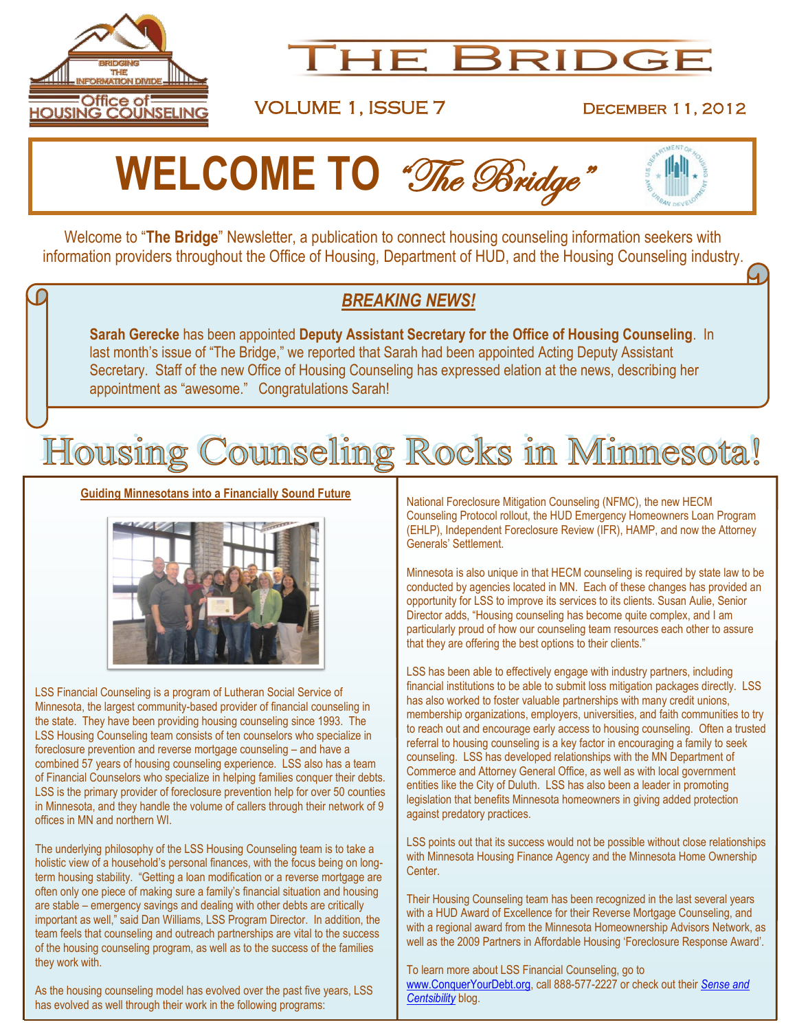

## HE BRIDGE

VOLUME 1, ISSUE 7 December 11, 2012

# **WELCOME TO** "The Bridge"

Welcome to "**The Bridge**" Newsletter, a publication to connect housing counseling information seekers with information providers throughout the Office of Housing, Department of HUD, and the Housing Counseling industry.

### *BREAKING NEWS!*

**Sarah Gerecke** has been appointed **Deputy Assistant Secretary for the Office of Housing Counseling**. In last month's issue of "The Bridge," we reported that Sarah had been appointed Acting Deputy Assistant Secretary. Staff of the new Office of Housing Counseling has expressed elation at the news, describing her appointment as "awesome." Congratulations Sarah!

## Housing Counseling Rocks in Minnesota!

**Guiding Minnesotans into a Financially Sound Future**



LSS Financial Counseling is a program of Lutheran Social Service of Minnesota, the largest community-based provider of financial counseling in the state. They have been providing housing counseling since 1993. The LSS Housing Counseling team consists of ten counselors who specialize in foreclosure prevention and reverse mortgage counseling – and have a combined 57 years of housing counseling experience. LSS also has a team of Financial Counselors who specialize in helping families conquer their debts. LSS is the primary provider of foreclosure prevention help for over 50 counties in Minnesota, and they handle the volume of callers through their network of 9 offices in MN and northern WI.

The underlying philosophy of the LSS Housing Counseling team is to take a holistic view of a household's personal finances, with the focus being on longterm housing stability. "Getting a loan modification or a reverse mortgage are often only one piece of making sure a family's financial situation and housing are stable – emergency savings and dealing with other debts are critically important as well," said Dan Williams, LSS Program Director. In addition, the team feels that counseling and outreach partnerships are vital to the success of the housing counseling program, as well as to the success of the families they work with.

As the housing counseling model has evolved over the past five years, LSS has evolved as well through their work in the following programs:

National Foreclosure Mitigation Counseling (NFMC), the new HECM Counseling Protocol rollout, the HUD Emergency Homeowners Loan Program (EHLP), Independent Foreclosure Review (IFR), HAMP, and now the Attorney Generals' Settlement.

Minnesota is also unique in that HECM counseling is required by state law to be conducted by agencies located in MN. Each of these changes has provided an opportunity for LSS to improve its services to its clients. Susan Aulie, Senior Director adds, "Housing counseling has become quite complex, and I am particularly proud of how our counseling team resources each other to assure that they are offering the best options to their clients."

LSS has been able to effectively engage with industry partners, including financial institutions to be able to submit loss mitigation packages directly. LSS has also worked to foster valuable partnerships with many credit unions, membership organizations, employers, universities, and faith communities to try to reach out and encourage early access to housing counseling. Often a trusted referral to housing counseling is a key factor in encouraging a family to seek counseling. LSS has developed relationships with the MN Department of Commerce and Attorney General Office, as well as with local government entities like the City of Duluth. LSS has also been a leader in promoting legislation that benefits Minnesota homeowners in giving added protection against predatory practices.

LSS points out that its success would not be possible without close relationships with Minnesota Housing Finance Agency and the Minnesota Home Ownership Center.

Their Housing Counseling team has been recognized in the last several years with a HUD Award of Excellence for their Reverse Mortgage Counseling, and with a regional award from the Minnesota Homeownership Advisors Network, as well as the 2009 Partners in Affordable Housing 'Foreclosure Response Award'.

To learn more about LSS Financial Counseling, go to [www.ConquerYourDebt.org,](http://www.conqueryourdebt.org/) call 888-577-2227 or check out their *[Sense and](http://www.lssmn.org/MS-FCS/blog.aspx?blogid=1518)  [Centsibility](http://www.lssmn.org/MS-FCS/blog.aspx?blogid=1518)* blog.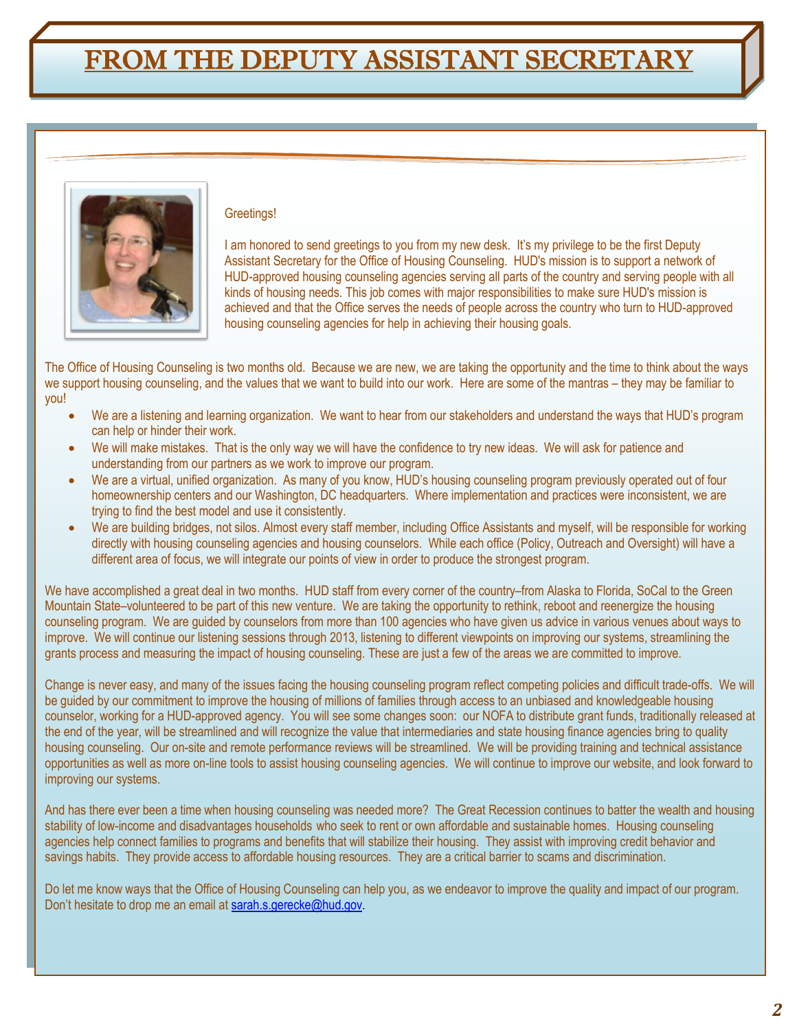### FROM THE DEPUTY ASSISTANT SECRETARY



#### Greetings!

I am honored to send greetings to you from my new desk. It's my privilege to be the first Deputy Assistant Secretary for the Office of Housing Counseling. HUD's mission is to support a network of HUD-approved housing counseling agencies serving all parts of the country and serving people with all kinds of housing needs. This job comes with major responsibilities to make sure HUD's mission is achieved and that the Office serves the needs of people across the country who turn to HUD-approved housing counseling agencies for help in achieving their housing goals.

The Office of Housing Counseling is two months old. Because we are new, we are taking the opportunity and the time to think about the ways we support housing counseling, and the values that we want to build into our work. Here are some of the mantras – they may be familiar to you!

- We are a listening and learning organization. We want to hear from our stakeholders and understand the ways that HUD's program can help or hinder their work.
- We will make mistakes. That is the only way we will have the confidence to try new ideas. We will ask for patience and understanding from our partners as we work to improve our program.
- We are a virtual, unified organization. As many of you know, HUD's housing counseling program previously operated out of four homeownership centers and our Washington, DC headquarters. Where implementation and practices were inconsistent, we are trying to find the best model and use it consistently.
- We are building bridges, not silos. Almost every staff member, including Office Assistants and myself, will be responsible for working directly with housing counseling agencies and housing counselors. While each office (Policy, Outreach and Oversight) will have a different area of focus, we will integrate our points of view in order to produce the strongest program.

We have accomplished a great deal in two months. HUD staff from every corner of the country–from Alaska to Florida, SoCal to the Green Mountain State–volunteered to be part of this new venture. We are taking the opportunity to rethink, reboot and reenergize the housing counseling program. We are guided by counselors from more than 100 agencies who have given us advice in various venues about ways to improve. We will continue our listening sessions through 2013, listening to different viewpoints on improving our systems, streamlining the grants process and measuring the impact of housing counseling. These are just a few of the areas we are committed to improve.

Change is never easy, and many of the issues facing the housing counseling program reflect competing policies and difficult trade-offs. We will be guided by our commitment to improve the housing of millions of families through access to an unbiased and knowledgeable housing counselor, working for a HUD-approved agency. You will see some changes soon: our NOFA to distribute grant funds, traditionally released at the end of the year, will be streamlined and will recognize the value that intermediaries and state housing finance agencies bring to quality housing counseling. Our on-site and remote performance reviews will be streamlined. We will be providing training and technical assistance opportunities as well as more on-line tools to assist housing counseling agencies. We will continue to improve our website, and look forward to improving our systems.

And has there ever been a time when housing counseling was needed more? The Great Recession continues to batter the wealth and housing stability of low-income and disadvantages households who seek to rent or own affordable and sustainable homes. Housing counseling agencies help connect families to programs and benefits that will stabilize their housing. They assist with improving credit behavior and savings habits. They provide access to affordable housing resources. They are a critical barrier to scams and discrimination.

Do let me know ways that the Office of Housing Counseling can help you, as we endeavor to improve the quality and impact of our program. Don't hesitate to drop me an email a[t sarah.s.gerecke@hud.gov.](mailto:sarah.s.gerecke@hud.gov)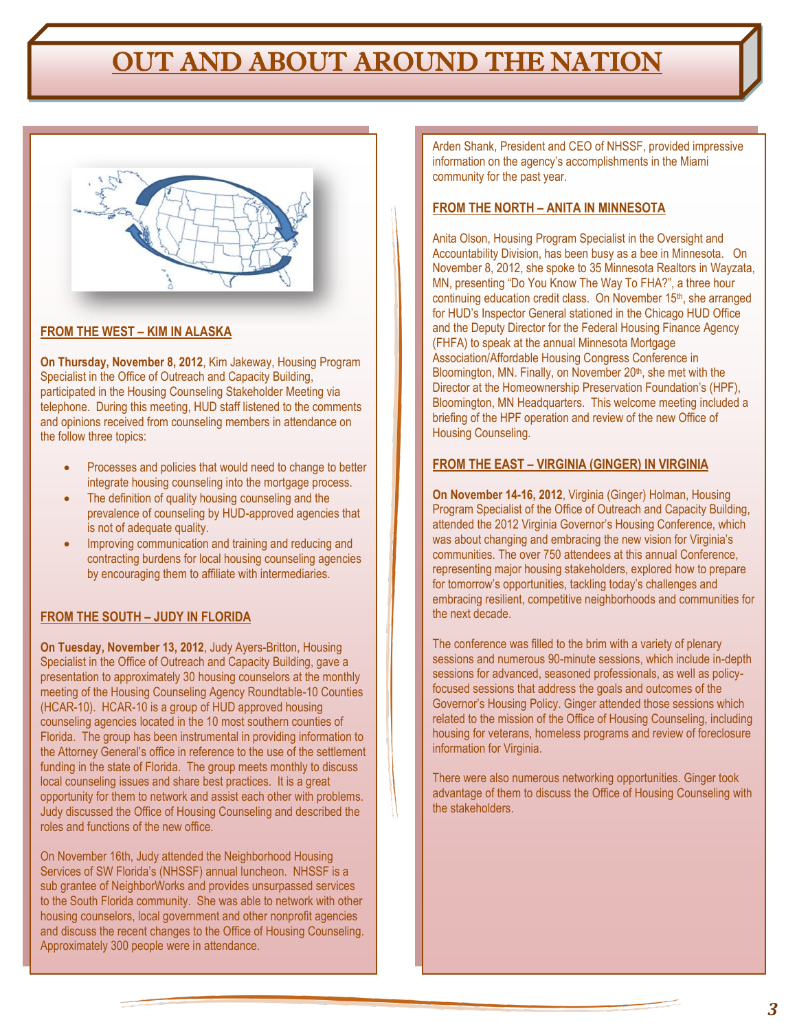### OUT AND ABOUT AROUND THE NATION



### **FROM THE WEST – KIM IN ALASKA**

**On Thursday, November 8, 2012**, Kim Jakeway, Housing Program Specialist in the Office of Outreach and Capacity Building, participated in the Housing Counseling Stakeholder Meeting via telephone. During this meeting, HUD staff listened to the comments and opinions received from counseling members in attendance on the follow three topics:

- Processes and policies that would need to change to better integrate housing counseling into the mortgage process.
- The definition of quality housing counseling and the prevalence of counseling by HUD-approved agencies that is not of adequate quality.
- Improving communication and training and reducing and contracting burdens for local housing counseling agencies by encouraging them to affiliate with intermediaries.

### **FROM THE SOUTH – JUDY IN FLORIDA**

**On Tuesday, November 13, 2012**, Judy Ayers-Britton, Housing Specialist in the Office of Outreach and Capacity Building, gave a presentation to approximately 30 housing counselors at the monthly meeting of the Housing Counseling Agency Roundtable-10 Counties (HCAR-10). HCAR-10 is a group of HUD approved housing counseling agencies located in the 10 most southern counties of Florida. The group has been instrumental in providing information to the Attorney General's office in reference to the use of the settlement funding in the state of Florida. The group meets monthly to discuss local counseling issues and share best practices. It is a great opportunity for them to network and assist each other with problems. Judy discussed the Office of Housing Counseling and described the roles and functions of the new office.

On November 16th, Judy attended the Neighborhood Housing Services of SW Florida's (NHSSF) annual luncheon. NHSSF is a sub grantee of NeighborWorks and provides unsurpassed services to the South Florida community. She was able to network with other housing counselors, local government and other nonprofit agencies and discuss the recent changes to the Office of Housing Counseling. Approximately 300 people were in attendance.

Arden Shank, President and CEO of NHSSF, provided impressive information on the agency's accomplishments in the Miami community for the past year.

#### **FROM THE NORTH – ANITA IN MINNESOTA**

Anita Olson, Housing Program Specialist in the Oversight and Accountability Division, has been busy as a bee in Minnesota. On November 8, 2012, she spoke to 35 Minnesota Realtors in Wayzata, MN, presenting "Do You Know The Way To FHA?", a three hour continuing education credit class. On November 15<sup>th</sup>, she arranged for HUD's Inspector General stationed in the Chicago HUD Office and the Deputy Director for the Federal Housing Finance Agency (FHFA) to speak at the annual Minnesota Mortgage Association/Affordable Housing Congress Conference in Bloomington, MN. Finally, on November 20<sup>th</sup>, she met with the Director at the Homeownership Preservation Foundation's (HPF), Bloomington, MN Headquarters. This welcome meeting included a briefing of the HPF operation and review of the new Office of Housing Counseling.

#### **FROM THE EAST – VIRGINIA (GINGER) IN VIRGINIA**

**On November 14-16, 2012**, Virginia (Ginger) Holman, Housing Program Specialist of the Office of Outreach and Capacity Building, attended the 2012 Virginia Governor's Housing Conference, which was about changing and embracing the new vision for Virginia's communities. The over 750 attendees at this annual Conference, representing major housing stakeholders, explored how to prepare for tomorrow's opportunities, tackling today's challenges and embracing resilient, competitive neighborhoods and communities for the next decade.

The conference was filled to the brim with a variety of plenary sessions and numerous 90-minute sessions, which include in-depth sessions for advanced, seasoned professionals, as well as policyfocused sessions that address the goals and outcomes of the Governor's Housing Policy. Ginger attended those sessions which related to the mission of the Office of Housing Counseling, including housing for veterans, homeless programs and review of foreclosure information for Virginia.

There were also numerous networking opportunities. Ginger took advantage of them to discuss the Office of Housing Counseling with the stakeholders.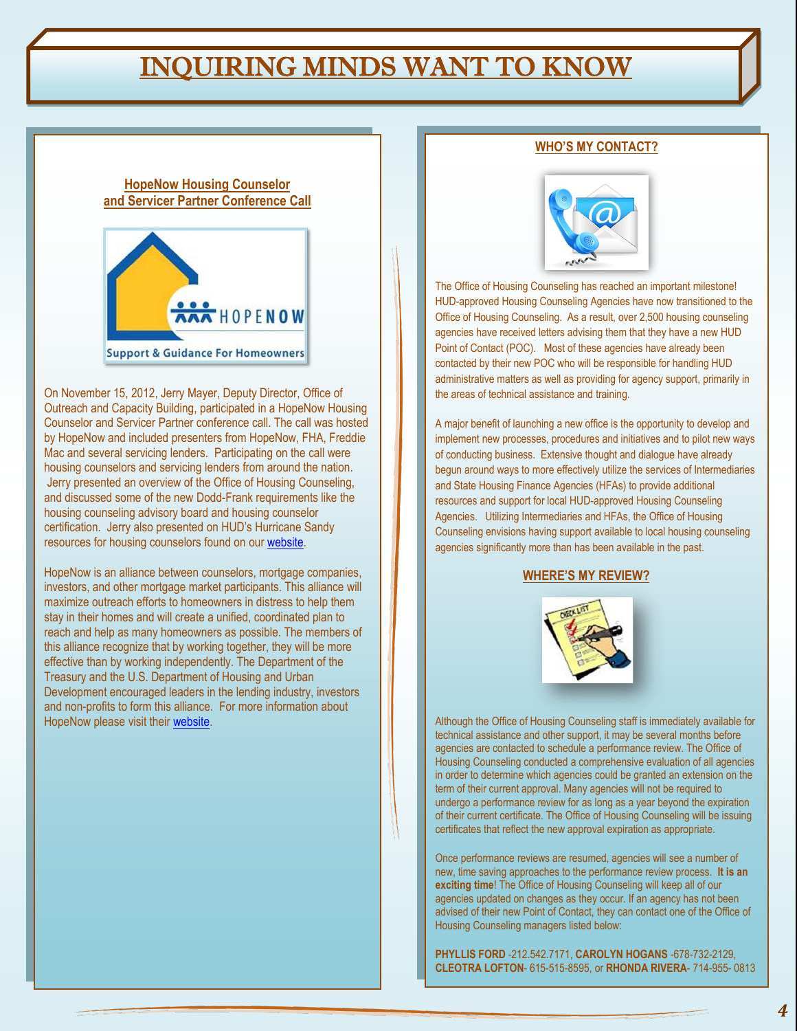### INQUIRING MINDS WANT TO KNOW

#### **HopeNow Housing Counselor and Servicer Partner Conference Call**



On November 15, 2012, Jerry Mayer, Deputy Director, Office of Outreach and Capacity Building, participated in a HopeNow Housing Counselor and Servicer Partner conference call. The call was hosted by HopeNow and included presenters from HopeNow, FHA, Freddie Mac and several servicing lenders. Participating on the call were housing counselors and servicing lenders from around the nation. Jerry presented an overview of the Office of Housing Counseling, and discussed some of the new Dodd-Frank requirements like the housing counseling advisory board and housing counselor certification. Jerry also presented on HUD's Hurricane Sandy resources for housing counselors found on ou[r website.](http://www.hud.gov/housingcounseling)

HopeNow is an alliance between counselors, mortgage companies, investors, and other mortgage market participants. This alliance will maximize outreach efforts to homeowners in distress to help them stay in their homes and will create a unified, coordinated plan to reach and help as many homeowners as possible. The members of this alliance recognize that by working together, they will be more effective than by working independently. The Department of the Treasury and the U.S. Department of Housing and Urban Development encouraged leaders in the lending industry, investors and non-profits to form this alliance. For more information about HopeNow please visit their [website.](http://www.hopenow.com/)

#### **WHO'S MY CONTACT?**



The Office of Housing Counseling has reached an important milestone! HUD-approved Housing Counseling Agencies have now transitioned to the Office of Housing Counseling. As a result, over 2,500 housing counseling agencies have received letters advising them that they have a new HUD Point of Contact (POC). Most of these agencies have already been contacted by their new POC who will be responsible for handling HUD administrative matters as well as providing for agency support, primarily in the areas of technical assistance and training.

A major benefit of launching a new office is the opportunity to develop and implement new processes, procedures and initiatives and to pilot new ways of conducting business. Extensive thought and dialogue have already begun around ways to more effectively utilize the services of Intermediaries and State Housing Finance Agencies (HFAs) to provide additional resources and support for local HUD-approved Housing Counseling Agencies. Utilizing Intermediaries and HFAs, the Office of Housing Counseling envisions having support available to local housing counseling agencies significantly more than has been available in the past.

#### **WHERE'S MY REVIEW?**



Although the Office of Housing Counseling staff is immediately available for technical assistance and other support, it may be several months before agencies are contacted to schedule a performance review. The Office of Housing Counseling conducted a comprehensive evaluation of all agencies in order to determine which agencies could be granted an extension on the term of their current approval. Many agencies will not be required to undergo a performance review for as long as a year beyond the expiration of their current certificate. The Office of Housing Counseling will be issuing certificates that reflect the new approval expiration as appropriate.

Once performance reviews are resumed, agencies will see a number of new, time saving approaches to the performance review process. **It is an exciting time**! The Office of Housing Counseling will keep all of our agencies updated on changes as they occur. If an agency has not been advised of their new Point of Contact, they can contact one of the Office of Housing Counseling managers listed below:

**PHYLLIS FORD** -212.542.7171, **CAROLYN HOGANS** -678-732-2129, **CLEOTRA LOFTON**- 615-515-8595, or **RHONDA RIVERA**- 714-955- 0813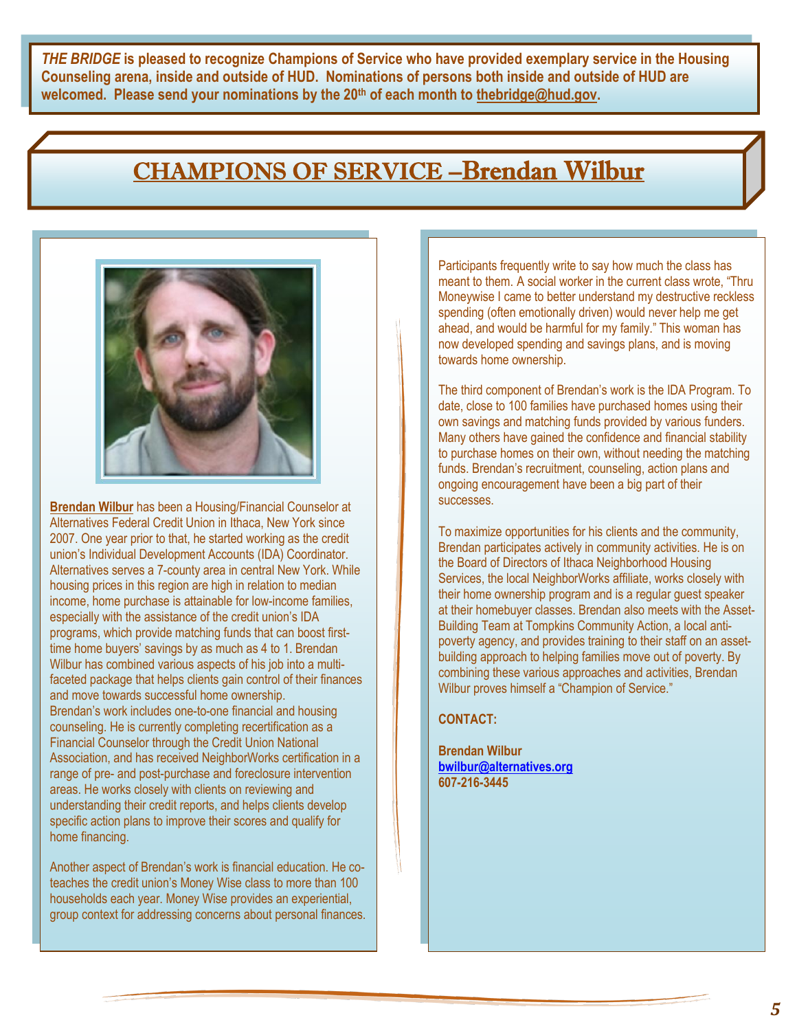*THE BRIDGE* **is pleased to recognize Champions of Service who have provided exemplary service in the Housing Counseling arena, inside and outside of HUD. Nominations of persons both inside and outside of HUD are welcomed. Please send your nominations by the 20th of each month to [thebridge@hud.gov.](mailto:thebridge@hud.gov)**

### CHAMPIONS OF SERVICE –Brendan Wilbur



**Brendan Wilbur** has been a Housing/Financial Counselor at Alternatives Federal Credit Union in Ithaca, New York since 2007. One year prior to that, he started working as the credit union's Individual Development Accounts (IDA) Coordinator. Alternatives serves a 7-county area in central New York. While housing prices in this region are high in relation to median income, home purchase is attainable for low-income families, especially with the assistance of the credit union's IDA programs, which provide matching funds that can boost firsttime home buyers' savings by as much as 4 to 1. Brendan Wilbur has combined various aspects of his job into a multifaceted package that helps clients gain control of their finances and move towards successful home ownership. Brendan's work includes one-to-one financial and housing counseling. He is currently completing recertification as a Financial Counselor through the Credit Union National Association, and has received NeighborWorks certification in a range of pre- and post-purchase and foreclosure intervention areas. He works closely with clients on reviewing and understanding their credit reports, and helps clients develop specific action plans to improve their scores and qualify for home financing.

Another aspect of Brendan's work is financial education. He coteaches the credit union's Money Wise class to more than 100 households each year. Money Wise provides an experiential, group context for addressing concerns about personal finances. Participants frequently write to say how much the class has meant to them. A social worker in the current class wrote, "Thru Moneywise I came to better understand my destructive reckless spending (often emotionally driven) would never help me get ahead, and would be harmful for my family." This woman has now developed spending and savings plans, and is moving towards home ownership.

The third component of Brendan's work is the IDA Program. To date, close to 100 families have purchased homes using their own savings and matching funds provided by various funders. Many others have gained the confidence and financial stability to purchase homes on their own, without needing the matching funds. Brendan's recruitment, counseling, action plans and ongoing encouragement have been a big part of their successes.

To maximize opportunities for his clients and the community, Brendan participates actively in community activities. He is on the Board of Directors of Ithaca Neighborhood Housing Services, the local NeighborWorks affiliate, works closely with their home ownership program and is a regular guest speaker at their homebuyer classes. Brendan also meets with the Asset-Building Team at Tompkins Community Action, a local antipoverty agency, and provides training to their staff on an assetbuilding approach to helping families move out of poverty. By combining these various approaches and activities, Brendan Wilbur proves himself a "Champion of Service."

**CONTACT:** 

**Brendan Wilbur [bwilbur@alternatives.org](mailto:bwilbur@alternatives.org) 607-216-3445**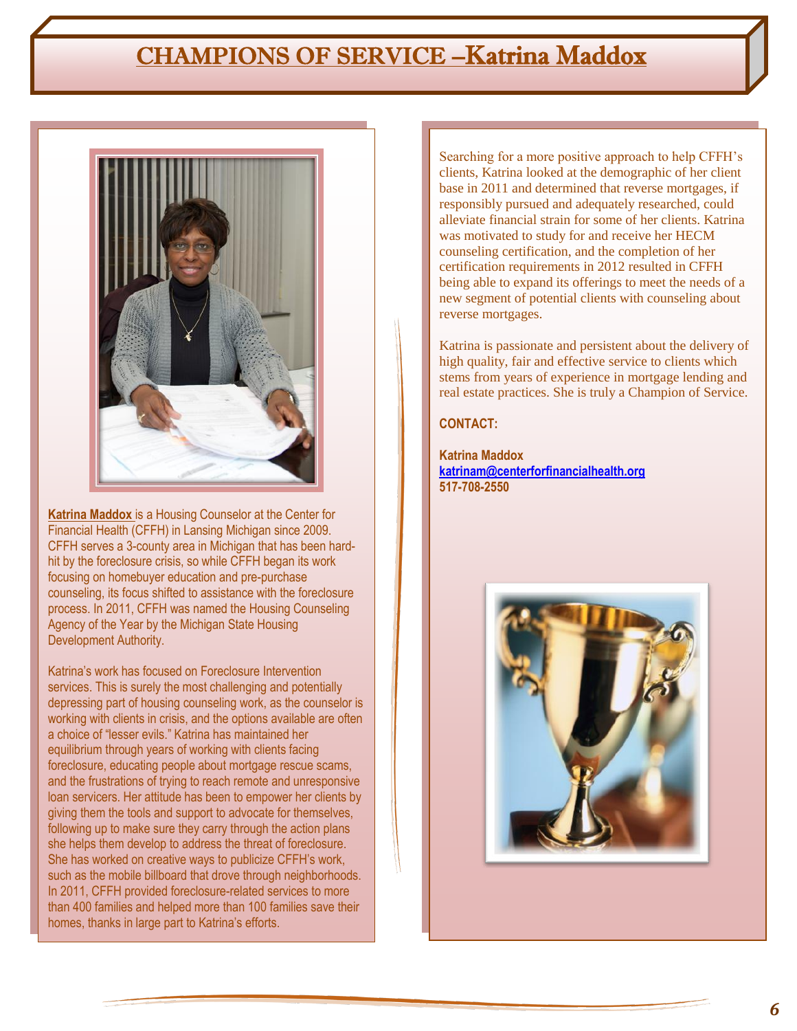### CHAMPIONS OF SERVICE –Katrina Maddox



**Katrina Maddox** is a Housing Counselor at the Center for Financial Health (CFFH) in Lansing Michigan since 2009. CFFH serves a 3-county area in Michigan that has been hardhit by the foreclosure crisis, so while CFFH began its work focusing on homebuyer education and pre-purchase counseling, its focus shifted to assistance with the foreclosure process. In 2011, CFFH was named the Housing Counseling Agency of the Year by the Michigan State Housing Development Authority.

Katrina's work has focused on Foreclosure Intervention services. This is surely the most challenging and potentially depressing part of housing counseling work, as the counselor is working with clients in crisis, and the options available are often a choice of "lesser evils." Katrina has maintained her equilibrium through years of working with clients facing foreclosure, educating people about mortgage rescue scams, and the frustrations of trying to reach remote and unresponsive loan servicers. Her attitude has been to empower her clients by giving them the tools and support to advocate for themselves, following up to make sure they carry through the action plans she helps them develop to address the threat of foreclosure. She has worked on creative ways to publicize CFFH's work, such as the mobile billboard that drove through neighborhoods. In 2011, CFFH provided foreclosure-related services to more than 400 families and helped more than 100 families save their homes, thanks in large part to Katrina's efforts.

Searching for a more positive approach to help CFFH's clients, Katrina looked at the demographic of her client base in 2011 and determined that reverse mortgages, if responsibly pursued and adequately researched, could alleviate financial strain for some of her clients. Katrina was motivated to study for and receive her HECM counseling certification, and the completion of her certification requirements in 2012 resulted in CFFH being able to expand its offerings to meet the needs of a new segment of potential clients with counseling about reverse mortgages.

Katrina is passionate and persistent about the delivery of high quality, fair and effective service to clients which stems from years of experience in mortgage lending and real estate practices. She is truly a Champion of Service.

### **CONTACT:**

**Katrina Maddox [katrinam@centerforfinancialhealth.org](mailto:katrinam@centerforfinancialhealth.org)  517-708-2550**